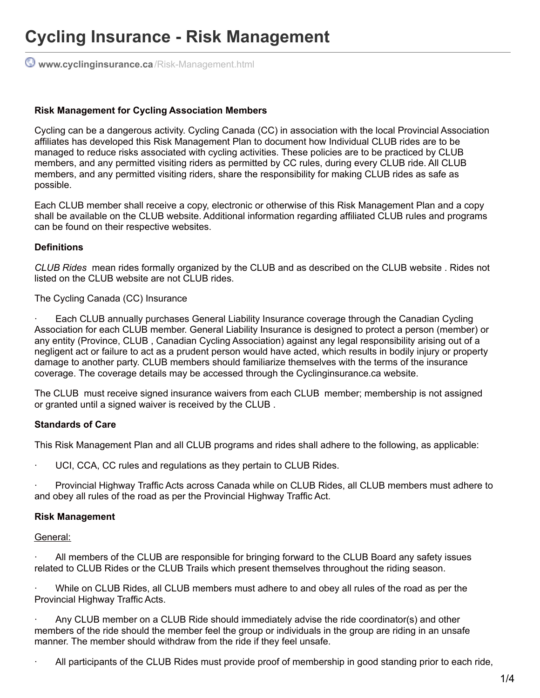# **Cycling Insurance - Risk Management**

**[www.cyclinginsurance.ca](http://www.cyclinginsurance.ca/Risk-Management.html)**/Risk-Management.html

#### **Risk Management for Cycling Association Members**

Cycling can be a dangerous activity. Cycling Canada (CC) in association with the local Provincial Association affiliates has developed this Risk Management Plan to document how Individual CLUB rides are to be managed to reduce risks associated with cycling activities. These policies are to be practiced by CLUB members, and any permitted visiting riders as permitted by CC rules, during every CLUB ride. All CLUB members, and any permitted visiting riders, share the responsibility for making CLUB rides as safe as possible.

Each CLUB member shall receive a copy, electronic or otherwise of this Risk Management Plan and a copy shall be available on the CLUB website. Additional information regarding affiliated CLUB rules and programs can be found on their respective websites.

#### **Definitions**

*CLUB Rides* mean rides formally organized by the CLUB and as described on the CLUB website . Rides not listed on the CLUB website are not CLUB rides.

The Cycling Canada (CC) Insurance

Each CLUB annually purchases General Liability Insurance coverage through the Canadian Cycling Association for each CLUB member. General Liability Insurance is designed to protect a person (member) or any entity (Province, CLUB , Canadian Cycling Association) against any legal responsibility arising out of a negligent act or failure to act as a prudent person would have acted, which results in bodily injury or property damage to another party. CLUB members should familiarize themselves with the terms of the insurance coverage. The coverage details may be accessed through the Cyclinginsurance.ca website.

The CLUB must receive signed insurance waivers from each CLUB member; membership is not assigned or granted until a signed waiver is received by the CLUB .

#### **Standards of Care**

This Risk Management Plan and all CLUB programs and rides shall adhere to the following, as applicable:

UCI, CCA, CC rules and regulations as they pertain to CLUB Rides.

· Provincial Highway Traffic Acts across Canada while on CLUB Rides, all CLUB members must adhere to and obey all rules of the road as per the Provincial Highway Traffic Act.

#### **Risk Management**

General:

All members of the CLUB are responsible for bringing forward to the CLUB Board any safety issues related to CLUB Rides or the CLUB Trails which present themselves throughout the riding season.

· While on CLUB Rides, all CLUB members must adhere to and obey all rules of the road as per the Provincial Highway Traffic Acts.

· Any CLUB member on a CLUB Ride should immediately advise the ride coordinator(s) and other members of the ride should the member feel the group or individuals in the group are riding in an unsafe manner. The member should withdraw from the ride if they feel unsafe.

· All participants of the CLUB Rides must provide proof of membership in good standing prior to each ride,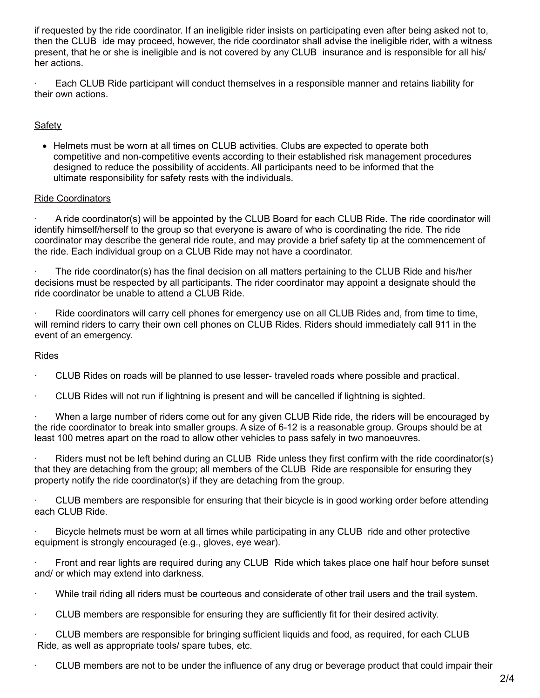if requested by the ride coordinator. If an ineligible rider insists on participating even after being asked not to, then the CLUB ide may proceed, however, the ride coordinator shall advise the ineligible rider, with a witness present, that he or she is ineligible and is not covered by any CLUB insurance and is responsible for all his/ her actions.

Each CLUB Ride participant will conduct themselves in a responsible manner and retains liability for their own actions.

# **Safety**

Helmets must be worn at all times on CLUB activities. Clubs are expected to operate both competitive and non-competitive events according to their established risk management procedures designed to reduce the possibility of accidents. All participants need to be informed that the ultimate responsibility for safety rests with the individuals.

## Ride Coordinators

· A ride coordinator(s) will be appointed by the CLUB Board for each CLUB Ride. The ride coordinator will identify himself/herself to the group so that everyone is aware of who is coordinating the ride. The ride coordinator may describe the general ride route, and may provide a brief safety tip at the commencement of the ride. Each individual group on a CLUB Ride may not have a coordinator.

The ride coordinator(s) has the final decision on all matters pertaining to the CLUB Ride and his/her decisions must be respected by all participants. The rider coordinator may appoint a designate should the ride coordinator be unable to attend a CLUB Ride.

Ride coordinators will carry cell phones for emergency use on all CLUB Rides and, from time to time, will remind riders to carry their own cell phones on CLUB Rides. Riders should immediately call 911 in the event of an emergency.

## Rides

· CLUB Rides on roads will be planned to use lesser- traveled roads where possible and practical.

· CLUB Rides will not run if lightning is present and will be cancelled if lightning is sighted.

· When a large number of riders come out for any given CLUB Ride ride, the riders will be encouraged by the ride coordinator to break into smaller groups. A size of 6-12 is a reasonable group. Groups should be at least 100 metres apart on the road to allow other vehicles to pass safely in two manoeuvres.

· Riders must not be left behind during an CLUB Ride unless they first confirm with the ride coordinator(s) that they are detaching from the group; all members of the CLUB Ride are responsible for ensuring they property notify the ride coordinator(s) if they are detaching from the group.

· CLUB members are responsible for ensuring that their bicycle is in good working order before attending each CLUB Ride.

Bicycle helmets must be worn at all times while participating in any CLUB ride and other protective equipment is strongly encouraged (e.g., gloves, eye wear).

Front and rear lights are required during any CLUB Ride which takes place one half hour before sunset and/ or which may extend into darkness.

· While trail riding all riders must be courteous and considerate of other trail users and the trail system.

· CLUB members are responsible for ensuring they are sufficiently fit for their desired activity.

CLUB members are responsible for bringing sufficient liquids and food, as required, for each CLUB Ride, as well as appropriate tools/ spare tubes, etc.

· CLUB members are not to be under the influence of any drug or beverage product that could impair their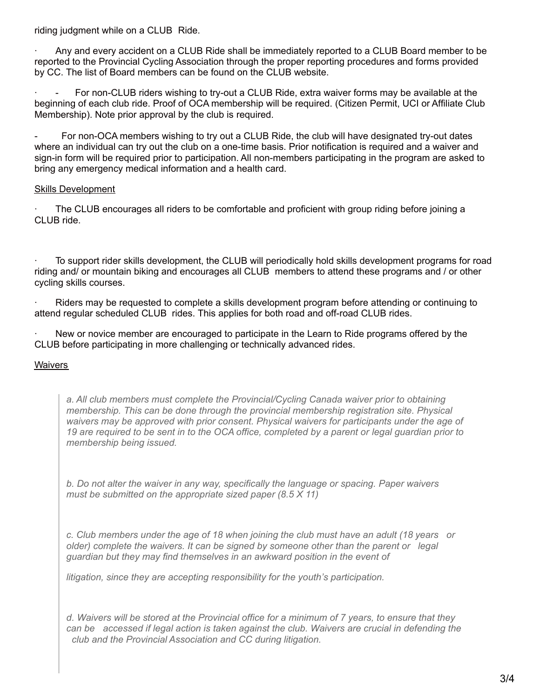riding judgment while on a CLUB Ride.

· Any and every accident on a CLUB Ride shall be immediately reported to a CLUB Board member to be reported to the Provincial Cycling Association through the proper reporting procedures and forms provided by CC. The list of Board members can be found on the CLUB website.

For non-CLUB riders wishing to try-out a CLUB Ride, extra waiver forms may be available at the beginning of each club ride. Proof of OCA membership will be required. (Citizen Permit, UCI or Affiliate Club Membership). Note prior approval by the club is required.

- For non-OCA members wishing to try out a CLUB Ride, the club will have designated try-out dates where an individual can try out the club on a one-time basis. Prior notification is required and a waiver and sign-in form will be required prior to participation. All non-members participating in the program are asked to bring any emergency medical information and a health card.

# **Skills Development**

The CLUB encourages all riders to be comfortable and proficient with group riding before joining a CLUB ride.

· To support rider skills development, the CLUB will periodically hold skills development programs for road riding and/ or mountain biking and encourages all CLUB members to attend these programs and / or other cycling skills courses.

· Riders may be requested to complete a skills development program before attending or continuing to attend regular scheduled CLUB rides. This applies for both road and off-road CLUB rides.

New or novice member are encouraged to participate in the Learn to Ride programs offered by the CLUB before participating in more challenging or technically advanced rides.

## **Waivers**

*a. All club members must complete the Provincial/Cycling Canada waiver prior to obtaining membership. This can be done through the provincial membership registration site. Physical waivers may be approved with prior consent. Physical waivers for participants under the age of* 19 are required to be sent in to the OCA office, completed by a parent or legal guardian prior to *membership being issued.*

*b. Do not alter the waiver in any way, specifically the language or spacing. Paper waivers must be submitted on the appropriate sized paper (8.5 X 11)*

*c. Club members under the age of 18 when joining the club must have an adult (18 years or older) complete the waivers. It can be signed by someone other than the parent or legal guardian but they may find themselves in an awkward position in the event of*

*litigation, since they are accepting responsibility for the youth's participation.*

d. Waivers will be stored at the Provincial office for a minimum of 7 years, to ensure that they *can be accessed if legal action is taken against the club. Waivers are crucial in defending the club and the Provincial Association and CC during litigation.*